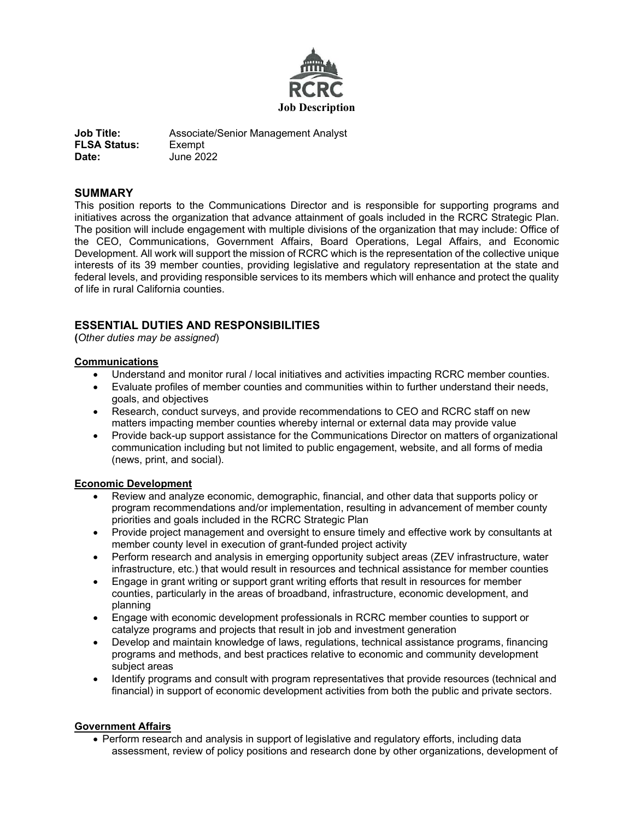

**Job Title:** Associate/Senior Management Analyst **FLSA Status:** Exempt **Date:** June 2022

# **SUMMARY**

This position reports to the Communications Director and is responsible for supporting programs and initiatives across the organization that advance attainment of goals included in the RCRC Strategic Plan. The position will include engagement with multiple divisions of the organization that may include: Office of the CEO, Communications, Government Affairs, Board Operations, Legal Affairs, and Economic Development. All work will support the mission of RCRC which is the representation of the collective unique interests of its 39 member counties, providing legislative and regulatory representation at the state and federal levels, and providing responsible services to its members which will enhance and protect the quality of life in rural California counties.

# **ESSENTIAL DUTIES AND RESPONSIBILITIES**

**(***Other duties may be assigned*)

# **Communications**

- Understand and monitor rural / local initiatives and activities impacting RCRC member counties.
- Evaluate profiles of member counties and communities within to further understand their needs, goals, and objectives
- Research, conduct surveys, and provide recommendations to CEO and RCRC staff on new matters impacting member counties whereby internal or external data may provide value
- Provide back-up support assistance for the Communications Director on matters of organizational communication including but not limited to public engagement, website, and all forms of media (news, print, and social).

# **Economic Development**

- Review and analyze economic, demographic, financial, and other data that supports policy or program recommendations and/or implementation, resulting in advancement of member county priorities and goals included in the RCRC Strategic Plan
- Provide project management and oversight to ensure timely and effective work by consultants at member county level in execution of grant-funded project activity
- Perform research and analysis in emerging opportunity subject areas (ZEV infrastructure, water infrastructure, etc.) that would result in resources and technical assistance for member counties
- Engage in grant writing or support grant writing efforts that result in resources for member counties, particularly in the areas of broadband, infrastructure, economic development, and planning
- Engage with economic development professionals in RCRC member counties to support or catalyze programs and projects that result in job and investment generation
- Develop and maintain knowledge of laws, regulations, technical assistance programs, financing programs and methods, and best practices relative to economic and community development subject areas
- Identify programs and consult with program representatives that provide resources (technical and financial) in support of economic development activities from both the public and private sectors.

# **Government Affairs**

• Perform research and analysis in support of legislative and regulatory efforts, including data assessment, review of policy positions and research done by other organizations, development of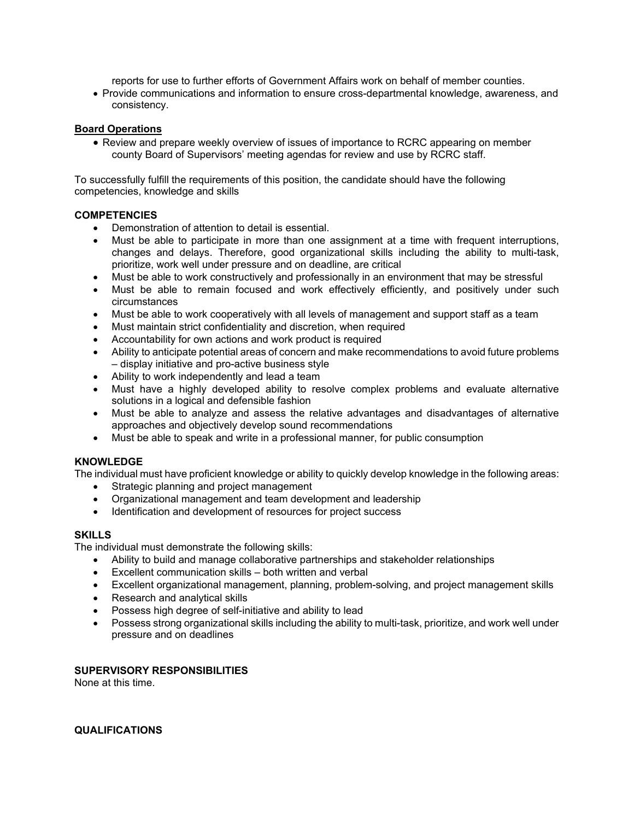reports for use to further efforts of Government Affairs work on behalf of member counties.

• Provide communications and information to ensure cross-departmental knowledge, awareness, and consistency.

## **Board Operations**

• Review and prepare weekly overview of issues of importance to RCRC appearing on member county Board of Supervisors' meeting agendas for review and use by RCRC staff.

To successfully fulfill the requirements of this position, the candidate should have the following competencies, knowledge and skills

## **COMPETENCIES**

- Demonstration of attention to detail is essential.
- Must be able to participate in more than one assignment at a time with frequent interruptions, changes and delays. Therefore, good organizational skills including the ability to multi-task, prioritize, work well under pressure and on deadline, are critical
- Must be able to work constructively and professionally in an environment that may be stressful
- Must be able to remain focused and work effectively efficiently, and positively under such circumstances
- Must be able to work cooperatively with all levels of management and support staff as a team
- Must maintain strict confidentiality and discretion, when required
- Accountability for own actions and work product is required
- Ability to anticipate potential areas of concern and make recommendations to avoid future problems – display initiative and pro-active business style
- Ability to work independently and lead a team
- Must have a highly developed ability to resolve complex problems and evaluate alternative solutions in a logical and defensible fashion
- Must be able to analyze and assess the relative advantages and disadvantages of alternative approaches and objectively develop sound recommendations
- Must be able to speak and write in a professional manner, for public consumption

# **KNOWLEDGE**

The individual must have proficient knowledge or ability to quickly develop knowledge in the following areas:

- Strategic planning and project management
- Organizational management and team development and leadership
- Identification and development of resources for project success

## **SKILLS**

The individual must demonstrate the following skills:

- Ability to build and manage collaborative partnerships and stakeholder relationships
- Excellent communication skills both written and verbal
- Excellent organizational management, planning, problem-solving, and project management skills
- Research and analytical skills
- Possess high degree of self-initiative and ability to lead
- Possess strong organizational skills including the ability to multi-task, prioritize, and work well under pressure and on deadlines

## **SUPERVISORY RESPONSIBILITIES**

None at this time.

**QUALIFICATIONS**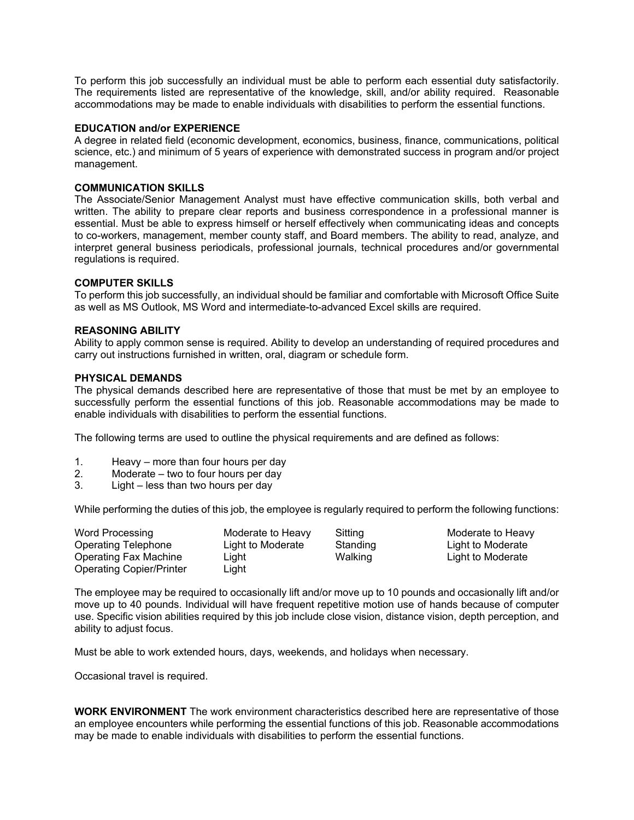To perform this job successfully an individual must be able to perform each essential duty satisfactorily. The requirements listed are representative of the knowledge, skill, and/or ability required. Reasonable accommodations may be made to enable individuals with disabilities to perform the essential functions.

## **EDUCATION and/or EXPERIENCE**

A degree in related field (economic development, economics, business, finance, communications, political science, etc.) and minimum of 5 years of experience with demonstrated success in program and/or project management.

#### **COMMUNICATION SKILLS**

The Associate/Senior Management Analyst must have effective communication skills, both verbal and written. The ability to prepare clear reports and business correspondence in a professional manner is essential. Must be able to express himself or herself effectively when communicating ideas and concepts to co-workers, management, member county staff, and Board members. The ability to read, analyze, and interpret general business periodicals, professional journals, technical procedures and/or governmental regulations is required.

#### **COMPUTER SKILLS**

To perform this job successfully, an individual should be familiar and comfortable with Microsoft Office Suite as well as MS Outlook, MS Word and intermediate-to-advanced Excel skills are required.

#### **REASONING ABILITY**

Ability to apply common sense is required. Ability to develop an understanding of required procedures and carry out instructions furnished in written, oral, diagram or schedule form.

## **PHYSICAL DEMANDS**

The physical demands described here are representative of those that must be met by an employee to successfully perform the essential functions of this job. Reasonable accommodations may be made to enable individuals with disabilities to perform the essential functions.

The following terms are used to outline the physical requirements and are defined as follows:

- 1. Heavy more than four hours per day
- 2. Moderate two to four hours per day
- 3. Light less than two hours per day

While performing the duties of this job, the employee is regularly required to perform the following functions:

| Word Processing                 | Moderate to Heavy | Sitting  | Moderate to Heavy |
|---------------------------------|-------------------|----------|-------------------|
| Operating Telephone             | Light to Moderate | Standing | Light to Moderate |
| Operating Fax Machine           | Light             | Walking  | Light to Moderate |
| <b>Operating Copier/Printer</b> | Light             |          |                   |

The employee may be required to occasionally lift and/or move up to 10 pounds and occasionally lift and/or move up to 40 pounds. Individual will have frequent repetitive motion use of hands because of computer use. Specific vision abilities required by this job include close vision, distance vision, depth perception, and ability to adjust focus.

Must be able to work extended hours, days, weekends, and holidays when necessary.

Occasional travel is required.

**WORK ENVIRONMENT** The work environment characteristics described here are representative of those an employee encounters while performing the essential functions of this job. Reasonable accommodations may be made to enable individuals with disabilities to perform the essential functions.